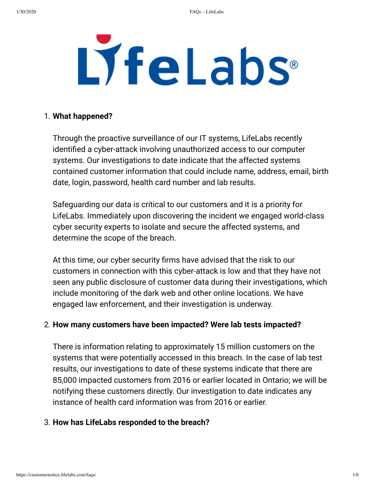# LyfeLabs®

#### 1. **What happened?**

Through the proactive surveillance of our IT systems, LifeLabs recently identified a cyber-attack involving unauthorized access to our computer systems. Our investigations to date indicate that the affected systems contained customer information that could include name, address, email, birth date, login, password, health card number and lab results.

Safeguarding our data is critical to our customers and it is a priority for LifeLabs. Immediately upon discovering the incident we engaged world-class cyber security experts to isolate and secure the affected systems, and determine the scope of the breach.

At this time, our cyber security firms have advised that the risk to our customers in connection with this cyber-attack is low and that they have not seen any public disclosure of customer data during their investigations, which include monitoring of the dark web and other online locations. We have engaged law enforcement, and their investigation is underway.

#### 2. **How many customers have been impacted? Were lab tests impacted?**

There is information relating to approximately 15 million customers on the systems that were potentially accessed in this breach. In the case of lab test results, our investigations to date of these systems indicate that there are 85,000 impacted customers from 2016 or earlier located in Ontario; we will be notifying these customers directly. Our investigation to date indicates any instance of health card information was from 2016 or earlier.

#### 3. **How has LifeLabs responded to the breach?**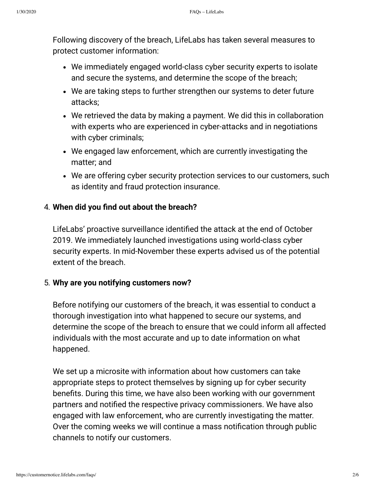Following discovery of the breach, LifeLabs has taken several measures to protect customer information:

- We immediately engaged world-class cyber security experts to isolate and secure the systems, and determine the scope of the breach;
- We are taking steps to further strengthen our systems to deter future attacks;
- We retrieved the data by making a payment. We did this in collaboration with experts who are experienced in cyber-attacks and in negotiations with cyber criminals;
- We engaged law enforcement, which are currently investigating the matter; and
- We are offering cyber security protection services to our customers, such as identity and fraud protection insurance.

# 4. **When did you nd out about the breach?**

LifeLabs' proactive surveillance identified the attack at the end of October 2019. We immediately launched investigations using world-class cyber security experts. In mid-November these experts advised us of the potential extent of the breach.

#### 5. **Why are you notifying customers now?**

Before notifying our customers of the breach, it was essential to conduct a thorough investigation into what happened to secure our systems, and determine the scope of the breach to ensure that we could inform all affected individuals with the most accurate and up to date information on what happened.

We set up a microsite with information about how customers can take appropriate steps to protect themselves by signing up for cyber security benefits. During this time, we have also been working with our government partners and notified the respective privacy commissioners. We have also engaged with law enforcement, who are currently investigating the matter. Over the coming weeks we will continue a mass notification through public channels to notify our customers.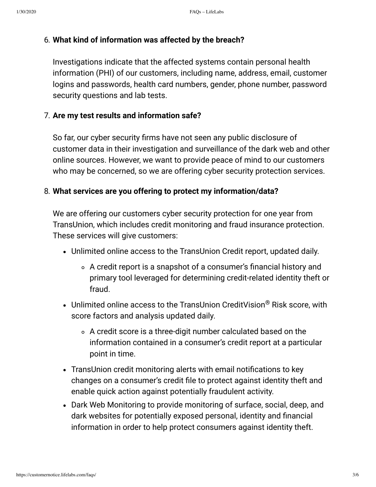#### 6. **What kind of information was affected by the breach?**

Investigations indicate that the affected systems contain personal health information (PHI) of our customers, including name, address, email, customer logins and passwords, health card numbers, gender, phone number, password security questions and lab tests.

### 7. **Are my test results and information safe?**

So far, our cyber security firms have not seen any public disclosure of customer data in their investigation and surveillance of the dark web and other online sources. However, we want to provide peace of mind to our customers who may be concerned, so we are offering cyber security protection services.

#### 8. **What services are you offering to protect my information/data?**

We are offering our customers cyber security protection for one year from TransUnion, which includes credit monitoring and fraud insurance protection. These services will give customers:

- Unlimited online access to the TransUnion Credit report, updated daily.
	- $\circ$  A credit report is a snapshot of a consumer's financial history and primary tool leveraged for determining credit-related identity theft or fraud.
- Unlimited online access to the TransUnion CreditVision $^\circledR$  Risk score, with score factors and analysis updated daily.
	- A credit score is a three-digit number calculated based on the information contained in a consumer's credit report at a particular point in time.
- TransUnion credit monitoring alerts with email notifications to key changes on a consumer's credit file to protect against identity theft and enable quick action against potentially fraudulent activity.
- Dark Web Monitoring to provide monitoring of surface, social, deep, and dark websites for potentially exposed personal, identity and financial information in order to help protect consumers against identity theft.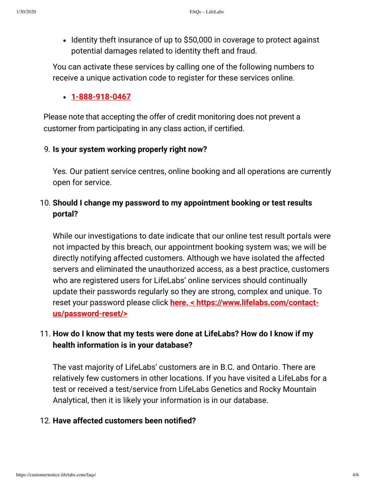• Identity theft insurance of up to \$50,000 in coverage to protect against potential damages related to identity theft and fraud.

You can activate these services by calling one of the following numbers to receive a unique activation code to register for these services online.

## **1-888-918-0467**

Please note that accepting the offer of credit monitoring does not prevent a customer from participating in any class action, if certified.

## 9. **Is your system working properly right now?**

Yes. Our patient service centres, online booking and all operations are currently open for service.

# 10. **Should I change my password to my appointment booking or test results portal?**

While our investigations to date indicate that our online test result portals were not impacted by this breach, our appointment booking system was; we will be directly notifying affected customers. Although we have isolated the affected servers and eliminated the unauthorized access, as a best practice, customers who are registered users for LifeLabs' online services should continually update their passwords regularly so they are strong, complex and unique. To reset your password please click **here. < https://www.lifelabs.com/contactus/password-reset/>**

# 11. **How do I know that my tests were done at LifeLabs? How do I know if my health information is in your database?**

The vast majority of LifeLabs' customers are in B.C. and Ontario. There are relatively few customers in other locations. If you have visited a LifeLabs for a test or received a test/service from LifeLabs Genetics and Rocky Mountain Analytical, then it is likely your information is in our database.

#### 12. **Have affected customers been notied?**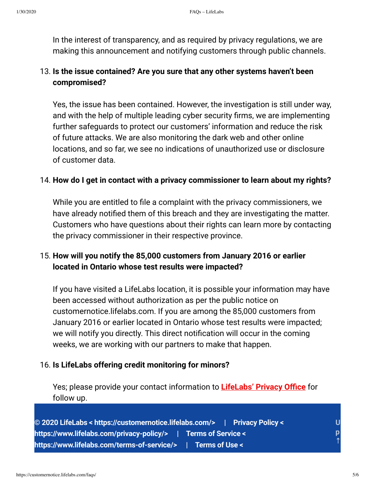In the interest of transparency, and as required by privacy regulations, we are making this announcement and notifying customers through public channels.

# 13. **Is the issue contained? Are you sure that any other systems haven't been compromised?**

Yes, the issue has been contained. However, the investigation is still under way, and with the help of multiple leading cyber security firms, we are implementing further safeguards to protect our customers' information and reduce the risk of future attacks. We are also monitoring the dark web and other online locations, and so far, we see no indications of unauthorized use or disclosure of customer data.

#### 14. **How do I get in contact with a privacy commissioner to learn about my rights?**

While you are entitled to file a complaint with the privacy commissioners, we have already notified them of this breach and they are investigating the matter. Customers who have questions about their rights can learn more by contacting the privacy commissioner in their respective province.

# 15. **How will you notify the 85,000 customers from January 2016 or earlier located in Ontario whose test results were impacted?**

If you have visited a LifeLabs location, it is possible your information may have been accessed without authorization as per the public notice on customernotice.lifelabs.com. If you are among the 85,000 customers from January 2016 or earlier located in Ontario whose test results were impacted; we will notify you directly. This direct notification will occur in the coming weeks, we are working with our partners to make that happen.

#### 16. **Is LifeLabs offering credit monitoring for minors?**

Yes; please provide your contact information to **LifeLabs' Privacy Oce** for follow up.

**© 2020 LifeLabs < https://customernotice.lifelabs.com/> | Privacy Policy < https://www.lifelabs.com/privacy-policy/> | Terms of Service < https://www.lifelabs.com/terms-of-service/> | Terms of Use < U p ↑**